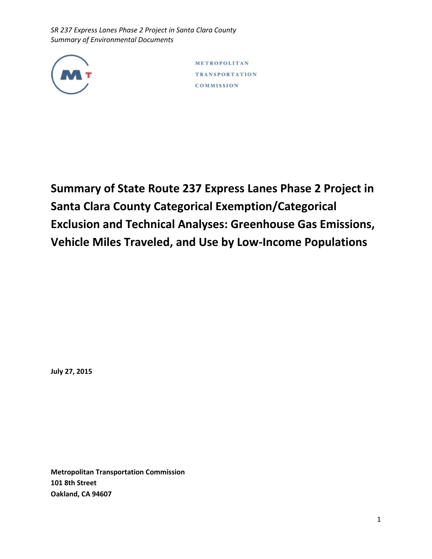

METROPOLITAN **TRANSPORTATION** COMMISSION

**Summary of State Route 237 Express Lanes Phase 2 Project in Santa Clara County Categorical Exemption/Categorical Exclusion and Technical Analyses: Greenhouse Gas Emissions, Vehicle Miles Traveled, and Use by Low-Income Populations**

**July 27, 2015**

**Metropolitan Transportation Commission 101 8th Street Oakland, CA 94607**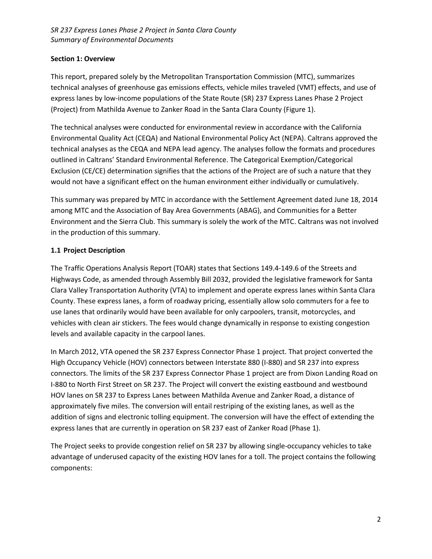## **Section 1: Overview**

This report, prepared solely by the Metropolitan Transportation Commission (MTC), summarizes technical analyses of greenhouse gas emissions effects, vehicle miles traveled (VMT) effects, and use of express lanes by low-income populations of the State Route (SR) 237 Express Lanes Phase 2 Project (Project) from Mathilda Avenue to Zanker Road in the Santa Clara County (Figure 1).

The technical analyses were conducted for environmental review in accordance with the California Environmental Quality Act (CEQA) and National Environmental Policy Act (NEPA). Caltrans approved the technical analyses as the CEQA and NEPA lead agency. The analyses follow the formats and procedures outlined in Caltrans' Standard Environmental Reference. The Categorical Exemption/Categorical Exclusion (CE/CE) determination signifies that the actions of the Project are of such a nature that they would not have a significant effect on the human environment either individually or cumulatively.

This summary was prepared by MTC in accordance with the Settlement Agreement dated June 18, 2014 among MTC and the Association of Bay Area Governments (ABAG), and Communities for a Better Environment and the Sierra Club. This summary is solely the work of the MTC. Caltrans was not involved in the production of this summary.

## **1.1 Project Description**

The Traffic Operations Analysis Report (TOAR) states that Sections 149.4‐149.6 of the Streets and Highways Code, as amended through Assembly Bill 2032, provided the legislative framework for Santa Clara Valley Transportation Authority (VTA) to implement and operate express lanes within Santa Clara County. These express lanes, a form of roadway pricing, essentially allow solo commuters for a fee to use lanes that ordinarily would have been available for only carpoolers, transit, motorcycles, and vehicles with clean air stickers. The fees would change dynamically in response to existing congestion levels and available capacity in the carpool lanes.

In March 2012, VTA opened the SR 237 Express Connector Phase 1 project. That project converted the High Occupancy Vehicle (HOV) connectors between Interstate 880 (I-880) and SR 237 into express connectors. The limits of the SR 237 Express Connector Phase 1 project are from Dixon Landing Road on I‐880 to North First Street on SR 237. The Project will convert the existing eastbound and westbound HOV lanes on SR 237 to Express Lanes between Mathilda Avenue and Zanker Road, a distance of approximately five miles. The conversion will entail restriping of the existing lanes, as well as the addition of signs and electronic tolling equipment. The conversion will have the effect of extending the express lanes that are currently in operation on SR 237 east of Zanker Road (Phase 1).

The Project seeks to provide congestion relief on SR 237 by allowing single-occupancy vehicles to take advantage of underused capacity of the existing HOV lanes for a toll. The project contains the following components: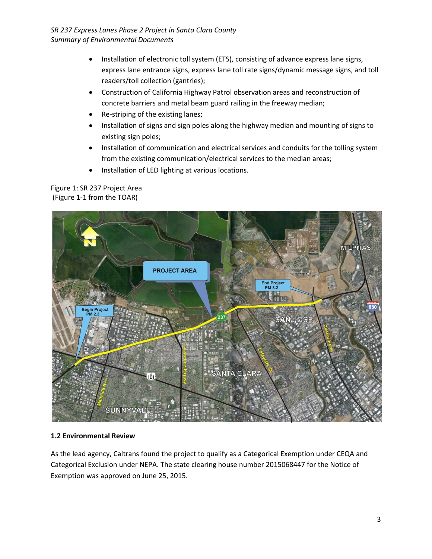- Installation of electronic toll system (ETS), consisting of advance express lane signs, express lane entrance signs, express lane toll rate signs/dynamic message signs, and toll readers/toll collection (gantries);
- Construction of California Highway Patrol observation areas and reconstruction of concrete barriers and metal beam guard railing in the freeway median;
- Re-striping of the existing lanes;
- Installation of signs and sign poles along the highway median and mounting of signs to existing sign poles;
- Installation of communication and electrical services and conduits for the tolling system from the existing communication/electrical services to the median areas;
- Installation of LED lighting at various locations.

# Figure 1: SR 237 Project Area (Figure 1-1 from the TOAR)



## **1.2 Environmental Review**

As the lead agency, Caltrans found the project to qualify as a Categorical Exemption under CEQA and Categorical Exclusion under NEPA. The state clearing house number 2015068447 for the Notice of Exemption was approved on June 25, 2015.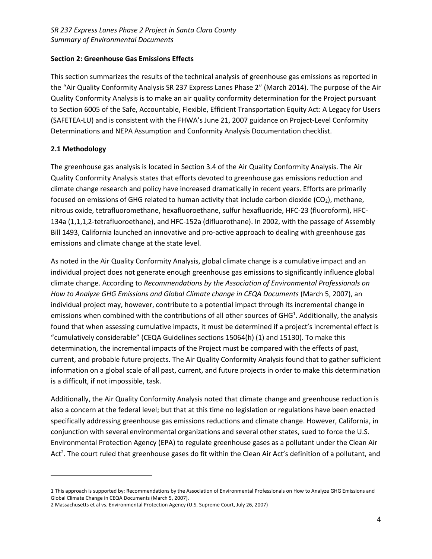### **Section 2: Greenhouse Gas Emissions Effects**

This section summarizes the results of the technical analysis of greenhouse gas emissions as reported in the "Air Quality Conformity Analysis SR 237 Express Lanes Phase 2" (March 2014). The purpose of the Air Quality Conformity Analysis is to make an air quality conformity determination for the Project pursuant to Section 6005 of the Safe, Accountable, Flexible, Efficient Transportation Equity Act: A Legacy for Users (SAFETEA-LU) and is consistent with the FHWA's June 21, 2007 guidance on Project-Level Conformity Determinations and NEPA Assumption and Conformity Analysis Documentation checklist.

## **2.1 Methodology**

 $\overline{\phantom{a}}$ 

The greenhouse gas analysis is located in Section 3.4 of the Air Quality Conformity Analysis. The Air Quality Conformity Analysis states that efforts devoted to greenhouse gas emissions reduction and climate change research and policy have increased dramatically in recent years. Efforts are primarily focused on emissions of GHG related to human activity that include carbon dioxide ( $CO<sub>2</sub>$ ), methane, nitrous oxide, tetrafluoromethane, hexafluoroethane, sulfur hexafluoride, HFC-23 (fluoroform), HFC-134a (1,1,1,2-tetrafluoroethane), and HFC-152a (difluorothane). In 2002, with the passage of Assembly Bill 1493, California launched an innovative and pro-active approach to dealing with greenhouse gas emissions and climate change at the state level.

As noted in the Air Quality Conformity Analysis, global climate change is a cumulative impact and an individual project does not generate enough greenhouse gas emissions to significantly influence global climate change. According to *Recommendations by the Association of Environmental Professionals on How to Analyze GHG Emissions and Global Climate change in CEQA Documents* (March 5, 2007), an individual project may, however, contribute to a potential impact through its incremental change in emissions when combined with the contributions of all other sources of GHG<sup>1</sup>. Additionally, the analysis found that when assessing cumulative impacts, it must be determined if a project's incremental effect is "cumulatively considerable" (CEQA Guidelines sections 15064(h) (1) and 15130). To make this determination, the incremental impacts of the Project must be compared with the effects of past, current, and probable future projects. The Air Quality Conformity Analysis found that to gather sufficient information on a global scale of all past, current, and future projects in order to make this determination is a difficult, if not impossible, task.

Additionally, the Air Quality Conformity Analysis noted that climate change and greenhouse reduction is also a concern at the federal level; but that at this time no legislation or regulations have been enacted specifically addressing greenhouse gas emissions reductions and climate change. However, California, in conjunction with several environmental organizations and several other states, sued to force the U.S. Environmental Protection Agency (EPA) to regulate greenhouse gases as a pollutant under the Clean Air Act<sup>2</sup>. The court ruled that greenhouse gases do fit within the Clean Air Act's definition of a pollutant, and

<sup>1</sup> This approach is supported by: Recommendations by the Association of Environmental Professionals on How to Analyze GHG Emissions and Global Climate Change in CEQA Documents (March 5, 2007).

<sup>2</sup> Massachusetts et al vs. Environmental Protection Agency (U.S. Supreme Court, July 26, 2007)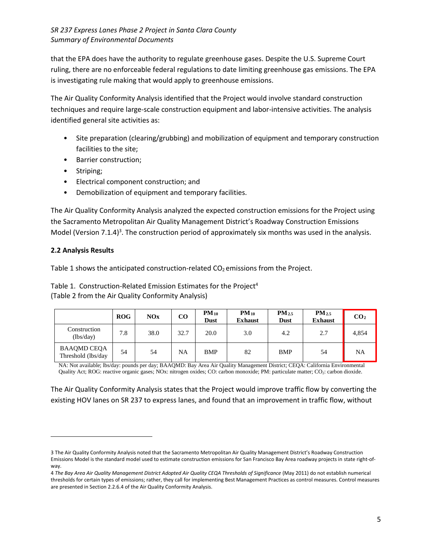that the EPA does have the authority to regulate greenhouse gases. Despite the U.S. Supreme Court ruling, there are no enforceable federal regulations to date limiting greenhouse gas emissions. The EPA is investigating rule making that would apply to greenhouse emissions.

The Air Quality Conformity Analysis identified that the Project would involve standard construction techniques and require large-scale construction equipment and labor-intensive activities. The analysis identified general site activities as:

- Site preparation (clearing/grubbing) and mobilization of equipment and temporary construction facilities to the site;
- Barrier construction;
- Striping;
- Electrical component construction; and
- Demobilization of equipment and temporary facilities.

The Air Quality Conformity Analysis analyzed the expected construction emissions for the Project using the Sacramento Metropolitan Air Quality Management District's Roadway Construction Emissions Model (Version 7.1.4)<sup>3</sup>. The construction period of approximately six months was used in the analysis.

## **2.2 Analysis Results**

 $\overline{\phantom{a}}$ 

Table 1 shows the anticipated construction-related  $CO<sub>2</sub>$  emissions from the Project.

Table 1. Construction-Related Emission Estimates for the Project<sup>4</sup> (Table 2 from the Air Quality Conformity Analysis)

|                                           | ROG | NOx  | CO        | $PM_{10}$<br><b>Dust</b> | $PM_{10}$<br><b>Exhaust</b> | $PM_{2.5}$<br><b>Dust</b> | $PM_{2.5}$<br><b>Exhaust</b> | CO <sub>2</sub> |
|-------------------------------------------|-----|------|-----------|--------------------------|-----------------------------|---------------------------|------------------------------|-----------------|
| Construction<br>(lbs/day)                 | 7.8 | 38.0 | 32.7      | 20.0                     | 3.0                         | 4.2                       | 2.7                          | 4.854           |
| <b>BAAQMD CEQA</b><br>Threshold (lbs/day) | 54  | 54   | <b>NA</b> | <b>BMP</b>               | 82                          | <b>BMP</b>                | 54                           | NA              |

NA: Not available; lbs/day: pounds per day; BAAQMD: Bay Area Air Quality Management District; CEQA: California Environmental Quality Act; ROG: reactive organic gases; NOx: nitrogen oxides; CO: carbon monoxide; PM: particulate matter; CO<sub>2</sub>: carbon dioxide.

The Air Quality Conformity Analysis states that the Project would improve traffic flow by converting the existing HOV lanes on SR 237 to express lanes, and found that an improvement in traffic flow, without

<sup>3</sup> The Air Quality Conformity Analysis noted that the Sacramento Metropolitan Air Quality Management District's Roadway Construction Emissions Model is the standard model used to estimate construction emissions for San Francisco Bay Area roadway projects in state right-ofway.

<sup>4</sup> *The Bay Area Air Quality Management District Adopted Air Quality CEQA Thresholds of Significance* (May 2011) do not establish numerical thresholds for certain types of emissions; rather, they call for implementing Best Management Practices as control measures. Control measures are presented in Section 2.2.6.4 of the Air Quality Conformity Analysis.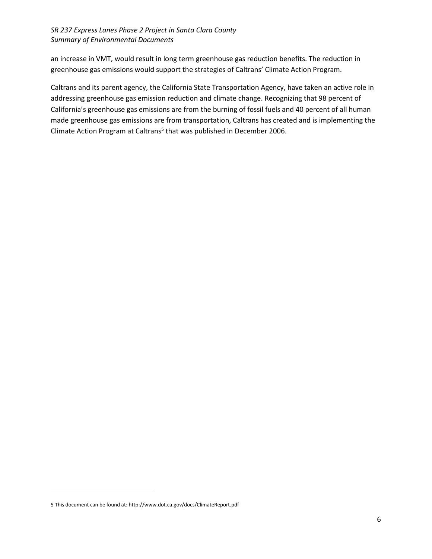an increase in VMT, would result in long term greenhouse gas reduction benefits. The reduction in greenhouse gas emissions would support the strategies of Caltrans' Climate Action Program.

Caltrans and its parent agency, the California State Transportation Agency, have taken an active role in addressing greenhouse gas emission reduction and climate change. Recognizing that 98 percent of California's greenhouse gas emissions are from the burning of fossil fuels and 40 percent of all human made greenhouse gas emissions are from transportation, Caltrans has created and is implementing the Climate Action Program at Caltrans<sup>5</sup> that was published in December 2006.

 $\overline{\phantom{a}}$ 

<sup>5</sup> This document can be found at[: http://www.dot.ca.gov/docs/ClimateReport.pdf](http://www.dot.ca.gov/docs/ClimateReport.pdf)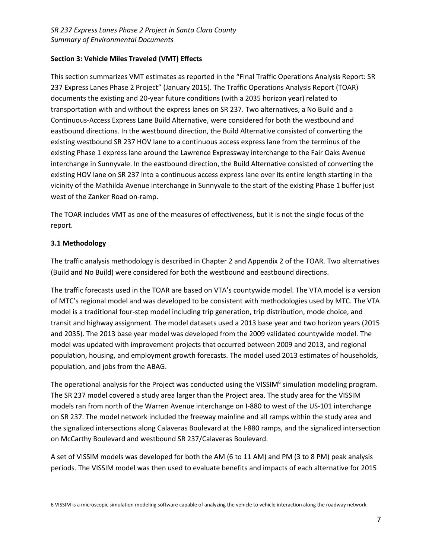## **Section 3: Vehicle Miles Traveled (VMT) Effects**

This section summarizes VMT estimates as reported in the "Final Traffic Operations Analysis Report: SR 237 Express Lanes Phase 2 Project" (January 2015). The Traffic Operations Analysis Report (TOAR) documents the existing and 20-year future conditions (with a 2035 horizon year) related to transportation with and without the express lanes on SR 237. Two alternatives, a No Build and a Continuous‐Access Express Lane Build Alternative, were considered for both the westbound and eastbound directions. In the westbound direction, the Build Alternative consisted of converting the existing westbound SR 237 HOV lane to a continuous access express lane from the terminus of the existing Phase 1 express lane around the Lawrence Expressway interchange to the Fair Oaks Avenue interchange in Sunnyvale. In the eastbound direction, the Build Alternative consisted of converting the existing HOV lane on SR 237 into a continuous access express lane over its entire length starting in the vicinity of the Mathilda Avenue interchange in Sunnyvale to the start of the existing Phase 1 buffer just west of the Zanker Road on‐ramp.

The TOAR includes VMT as one of the measures of effectiveness, but it is not the single focus of the report.

## **3.1 Methodology**

 $\overline{\phantom{a}}$ 

The traffic analysis methodology is described in Chapter 2 and Appendix 2 of the TOAR. Two alternatives (Build and No Build) were considered for both the westbound and eastbound directions.

The traffic forecasts used in the TOAR are based on VTA's countywide model. The VTA model is a version of MTC's regional model and was developed to be consistent with methodologies used by MTC. The VTA model is a traditional four-step model including trip generation, trip distribution, mode choice, and transit and highway assignment. The model datasets used a 2013 base year and two horizon years (2015 and 2035). The 2013 base year model was developed from the 2009 validated countywide model. The model was updated with improvement projects that occurred between 2009 and 2013, and regional population, housing, and employment growth forecasts. The model used 2013 estimates of households, population, and jobs from the ABAG.

The operational analysis for the Project was conducted using the VISSIM<sup>6</sup> simulation modeling program. The SR 237 model covered a study area larger than the Project area. The study area for the VISSIM models ran from north of the Warren Avenue interchange on I‐880 to west of the US-101 interchange on SR 237. The model network included the freeway mainline and all ramps within the study area and the signalized intersections along Calaveras Boulevard at the I‐880 ramps, and the signalized intersection on McCarthy Boulevard and westbound SR 237/Calaveras Boulevard.

A set of VISSIM models was developed for both the AM (6 to 11 AM) and PM (3 to 8 PM) peak analysis periods. The VISSIM model was then used to evaluate benefits and impacts of each alternative for 2015

<sup>6</sup> VISSIM is a microscopic simulation modeling software capable of analyzing the vehicle to vehicle interaction along the roadway network.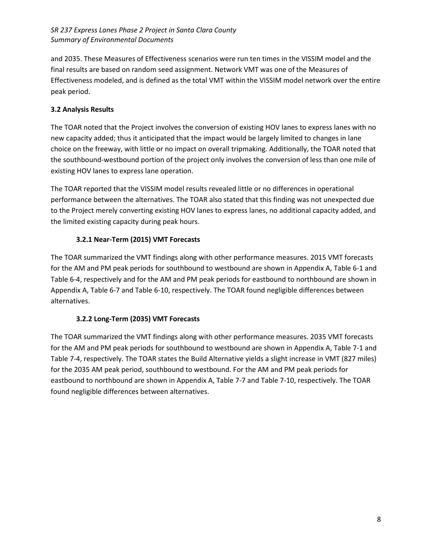and 2035. These Measures of Effectiveness scenarios were run ten times in the VISSIM model and the final results are based on random seed assignment. Network VMT was one of the Measures of Effectiveness modeled, and is defined as the total VMT within the VISSIM model network over the entire peak period.

## **3.2 Analysis Results**

The TOAR noted that the Project involves the conversion of existing HOV lanes to express lanes with no new capacity added; thus it anticipated that the impact would be largely limited to changes in lane choice on the freeway, with little or no impact on overall tripmaking. Additionally, the TOAR noted that the southbound-westbound portion of the project only involves the conversion of less than one mile of existing HOV lanes to express lane operation.

The TOAR reported that the VISSIM model results revealed little or no differences in operational performance between the alternatives. The TOAR also stated that this finding was not unexpected due to the Project merely converting existing HOV lanes to express lanes, no additional capacity added, and the limited existing capacity during peak hours.

## **3.2.1 Near-Term (2015) VMT Forecasts**

The TOAR summarized the VMT findings along with other performance measures. 2015 VMT forecasts for the AM and PM peak periods for southbound to westbound are shown in Appendix A, Table 6-1 and Table 6-4, respectively and for the AM and PM peak periods for eastbound to northbound are shown in Appendix A, Table 6-7 and Table 6-10, respectively. The TOAR found negligible differences between alternatives.

# **3.2.2 Long-Term (2035) VMT Forecasts**

The TOAR summarized the VMT findings along with other performance measures. 2035 VMT forecasts for the AM and PM peak periods for southbound to westbound are shown in Appendix A, Table 7-1 and Table 7-4, respectively. The TOAR states the Build Alternative yields a slight increase in VMT (827 miles) for the 2035 AM peak period, southbound to westbound. For the AM and PM peak periods for eastbound to northbound are shown in Appendix A, Table 7-7 and Table 7-10, respectively. The TOAR found negligible differences between alternatives.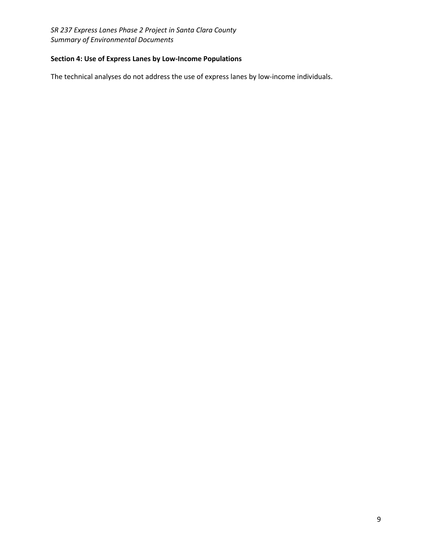## **Section 4: Use of Express Lanes by Low-Income Populations**

The technical analyses do not address the use of express lanes by low-income individuals.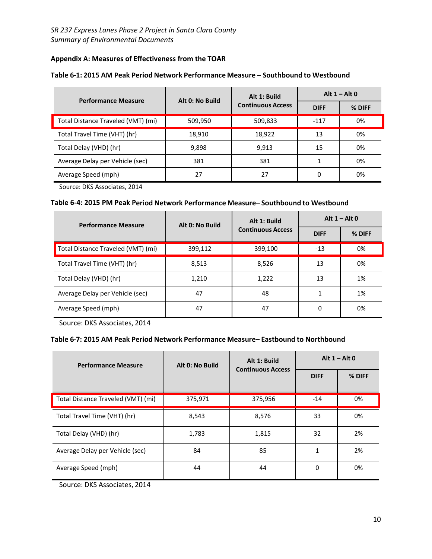## **Appendix A: Measures of Effectiveness from the TOAR**

| <b>Performance Measure</b>         | Alt 0: No Build | Alt 1: Build             | Alt $1 -$ Alt 0 |        |
|------------------------------------|-----------------|--------------------------|-----------------|--------|
|                                    |                 | <b>Continuous Access</b> | <b>DIFF</b>     | % DIFF |
| Total Distance Traveled (VMT) (mi) | 509,950         | 509,833                  | $-117$          | 0%     |
| Total Travel Time (VHT) (hr)       | 18,910          | 18,922                   | 13              | 0%     |
| Total Delay (VHD) (hr)             | 9,898           | 9,913                    | 15              | 0%     |
| Average Delay per Vehicle (sec)    | 381             | 381                      |                 | 0%     |
| Average Speed (mph)                | 27              | 27                       | 0               | 0%     |

Source: DKS Associates, 2014

#### **Table 6-4: 2015 PM Peak Period Network Performance Measure– Southbound to Westbound**

| <b>Performance Measure</b>         | Alt 0: No Build | Alt 1: Build             | Alt $1 -$ Alt 0 |        |
|------------------------------------|-----------------|--------------------------|-----------------|--------|
|                                    |                 | <b>Continuous Access</b> | <b>DIFF</b>     | % DIFF |
| Total Distance Traveled (VMT) (mi) | 399,112         | 399,100                  | $-13$           | 0%     |
| Total Travel Time (VHT) (hr)       | 8,513           | 8,526                    | 13              | 0%     |
| Total Delay (VHD) (hr)             | 1,210           | 1,222                    | 13              | 1%     |
| Average Delay per Vehicle (sec)    | 47              | 48                       |                 | 1%     |
| Average Speed (mph)                | 47              | 47                       | 0               | 0%     |

Source: DKS Associates, 2014

#### **Table 6-7: 2015 AM Peak Period Network Performance Measure– Eastbound to Northbound**

| <b>Performance Measure</b>         | Alt 0: No Build | Alt 1: Build             | Alt $1 -$ Alt 0 |        |
|------------------------------------|-----------------|--------------------------|-----------------|--------|
|                                    |                 | <b>Continuous Access</b> | <b>DIFF</b>     | % DIFF |
| Total Distance Traveled (VMT) (mi) | 375,971         | 375,956                  | $-14$           | 0%     |
| Total Travel Time (VHT) (hr)       | 8,543           | 8,576                    | 33              | 0%     |
| Total Delay (VHD) (hr)             | 1,783           | 1,815                    | 32              | 2%     |
| Average Delay per Vehicle (sec)    | 84              | 85                       |                 | 2%     |
| Average Speed (mph)                | 44              | 44                       | 0               | 0%     |

Source: DKS Associates, 2014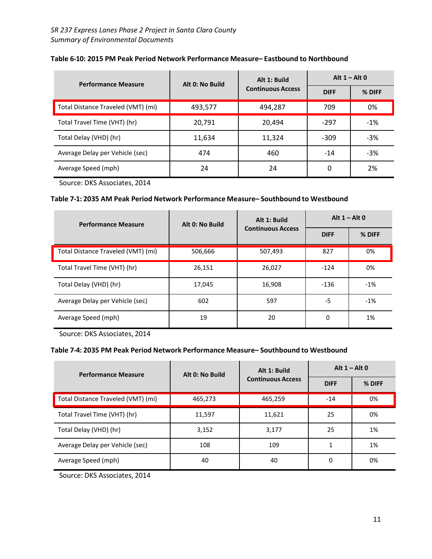| <b>Performance Measure</b>         | Alt 0: No Build | Alt 1: Build             | Alt $1 -$ Alt 0 |        |
|------------------------------------|-----------------|--------------------------|-----------------|--------|
|                                    |                 | <b>Continuous Access</b> | <b>DIFF</b>     | % DIFF |
| Total Distance Traveled (VMT) (mi) | 493,577         | 494,287                  | 709             | 0%     |
| Total Travel Time (VHT) (hr)       | 20,791          | 20,494                   | $-297$          | $-1%$  |
| Total Delay (VHD) (hr)             | 11,634          | 11,324                   | $-309$          | $-3%$  |
| Average Delay per Vehicle (sec)    | 474             | 460                      | $-14$           | $-3%$  |
| Average Speed (mph)                | 24              | 24                       | 0               | 2%     |

### **Table 6-10: 2015 PM Peak Period Network Performance Measure– Eastbound to Northbound**

Source: DKS Associates, 2014

#### **Table 7-1: 2035 AM Peak Period Network Performance Measure– Southbound to Westbound**

| <b>Performance Measure</b>         | Alt 0: No Build | Alt 1: Build             | Alt $1 -$ Alt 0 |        |
|------------------------------------|-----------------|--------------------------|-----------------|--------|
|                                    |                 | <b>Continuous Access</b> | <b>DIFF</b>     | % DIFF |
| Total Distance Traveled (VMT) (mi) | 506,666         | 507,493                  | 827             | 0%     |
| Total Travel Time (VHT) (hr)       | 26,151          | 26,027                   | $-124$          | 0%     |
| Total Delay (VHD) (hr)             | 17,045          | 16,908                   | $-136$          | $-1%$  |
| Average Delay per Vehicle (sec)    | 602             | 597                      | -5              | $-1%$  |
| Average Speed (mph)                | 19              | 20                       | 0               | 1%     |

Source: DKS Associates, 2014

# **Table 7-4: 2035 PM Peak Period Network Performance Measure– Southbound to Westbound**

| <b>Performance Measure</b>         | Alt 0: No Build | Alt 1: Build             | Alt $1 -$ Alt 0 |        |
|------------------------------------|-----------------|--------------------------|-----------------|--------|
|                                    |                 | <b>Continuous Access</b> | <b>DIFF</b>     | % DIFF |
| Total Distance Traveled (VMT) (mi) | 465,273         | 465,259                  | $-14$           | 0%     |
| Total Travel Time (VHT) (hr)       | 11,597          | 11,621                   | 25              | 0%     |
| Total Delay (VHD) (hr)             | 3,152           | 3,177                    | 25              | 1%     |
| Average Delay per Vehicle (sec)    | 108             | 109                      |                 | 1%     |
| Average Speed (mph)                | 40              | 40                       | 0               | 0%     |

Source: DKS Associates, 2014